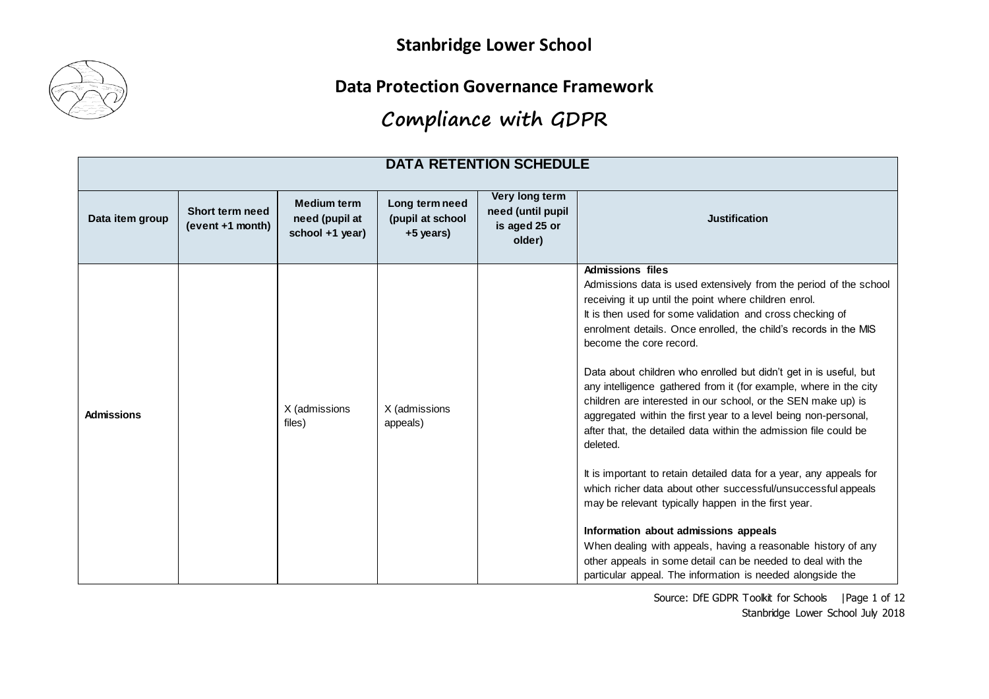

**Data Protection Governance Framework**

# **Compliance with GDPR**

| <b>DATA RETENTION SCHEDULE</b> |                                            |                                                         |                                                 |                                                                |                                                                                                                                                                                                                                                                                                                                                                                                                                                                                                                                                                                                                                                                                                                                                                                                                                                                                                                                                                                                                                                                                                                      |  |  |
|--------------------------------|--------------------------------------------|---------------------------------------------------------|-------------------------------------------------|----------------------------------------------------------------|----------------------------------------------------------------------------------------------------------------------------------------------------------------------------------------------------------------------------------------------------------------------------------------------------------------------------------------------------------------------------------------------------------------------------------------------------------------------------------------------------------------------------------------------------------------------------------------------------------------------------------------------------------------------------------------------------------------------------------------------------------------------------------------------------------------------------------------------------------------------------------------------------------------------------------------------------------------------------------------------------------------------------------------------------------------------------------------------------------------------|--|--|
| Data item group                | <b>Short term need</b><br>(event +1 month) | <b>Medium term</b><br>need (pupil at<br>school +1 year) | Long term need<br>(pupil at school<br>+5 years) | Very long term<br>need (until pupil<br>is aged 25 or<br>older) | <b>Justification</b>                                                                                                                                                                                                                                                                                                                                                                                                                                                                                                                                                                                                                                                                                                                                                                                                                                                                                                                                                                                                                                                                                                 |  |  |
| <b>Admissions</b>              |                                            | X (admissions<br>files)                                 | X (admissions<br>appeals)                       |                                                                | <b>Admissions files</b><br>Admissions data is used extensively from the period of the school<br>receiving it up until the point where children enrol.<br>It is then used for some validation and cross checking of<br>enrolment details. Once enrolled, the child's records in the MIS<br>become the core record.<br>Data about children who enrolled but didn't get in is useful, but<br>any intelligence gathered from it (for example, where in the city<br>children are interested in our school, or the SEN make up) is<br>aggregated within the first year to a level being non-personal,<br>after that, the detailed data within the admission file could be<br>deleted.<br>It is important to retain detailed data for a year, any appeals for<br>which richer data about other successful/unsuccessful appeals<br>may be relevant typically happen in the first year.<br>Information about admissions appeals<br>When dealing with appeals, having a reasonable history of any<br>other appeals in some detail can be needed to deal with the<br>particular appeal. The information is needed alongside the |  |  |

Source: DfE GDPR Toolkit for Schools | Page 1 of 12 Stanbridge Lower School July 2018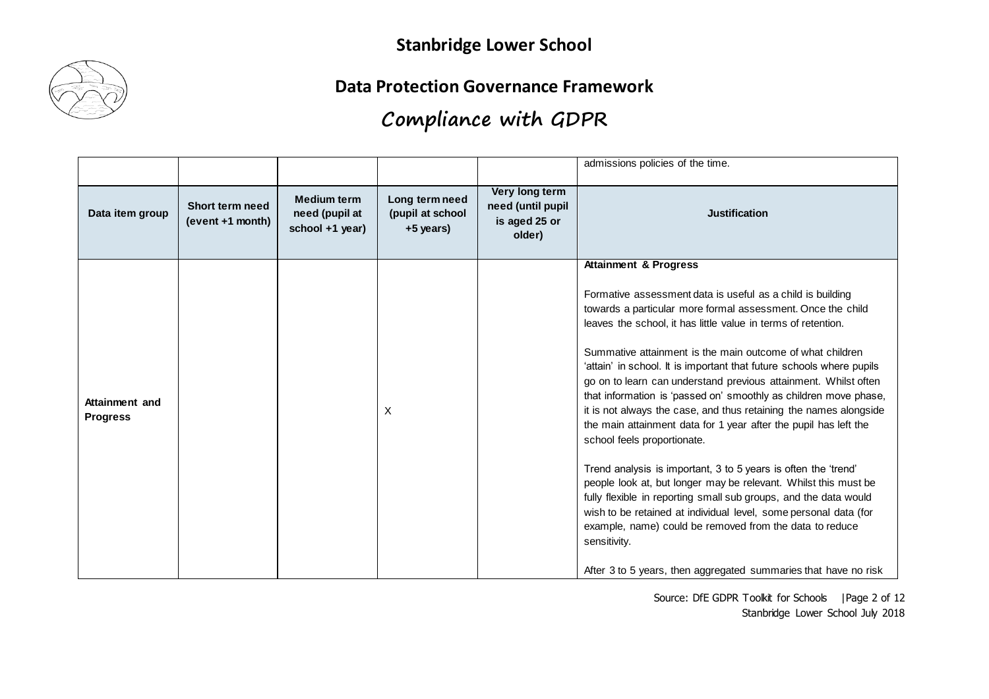

**Data Protection Governance Framework**

|                                   |                                     |                                                         |                                                 |                                                                | admissions policies of the time.                                                                                                                                                                                                                                                                                                                                                                                                                                                                                                                                                                                                                                                                                                                                                                                                                                                                                                                                                                                                                                                                              |
|-----------------------------------|-------------------------------------|---------------------------------------------------------|-------------------------------------------------|----------------------------------------------------------------|---------------------------------------------------------------------------------------------------------------------------------------------------------------------------------------------------------------------------------------------------------------------------------------------------------------------------------------------------------------------------------------------------------------------------------------------------------------------------------------------------------------------------------------------------------------------------------------------------------------------------------------------------------------------------------------------------------------------------------------------------------------------------------------------------------------------------------------------------------------------------------------------------------------------------------------------------------------------------------------------------------------------------------------------------------------------------------------------------------------|
| Data item group                   | Short term need<br>(event +1 month) | <b>Medium term</b><br>need (pupil at<br>school +1 year) | Long term need<br>(pupil at school<br>+5 years) | Very long term<br>need (until pupil<br>is aged 25 or<br>older) | <b>Justification</b>                                                                                                                                                                                                                                                                                                                                                                                                                                                                                                                                                                                                                                                                                                                                                                                                                                                                                                                                                                                                                                                                                          |
| Attainment and<br><b>Progress</b> |                                     |                                                         | X                                               |                                                                | <b>Attainment &amp; Progress</b><br>Formative assessment data is useful as a child is building<br>towards a particular more formal assessment. Once the child<br>leaves the school, it has little value in terms of retention.<br>Summative attainment is the main outcome of what children<br>'attain' in school. It is important that future schools where pupils<br>go on to learn can understand previous attainment. Whilst often<br>that information is 'passed on' smoothly as children move phase,<br>it is not always the case, and thus retaining the names alongside<br>the main attainment data for 1 year after the pupil has left the<br>school feels proportionate.<br>Trend analysis is important, 3 to 5 years is often the 'trend'<br>people look at, but longer may be relevant. Whilst this must be<br>fully flexible in reporting small sub groups, and the data would<br>wish to be retained at individual level, some personal data (for<br>example, name) could be removed from the data to reduce<br>sensitivity.<br>After 3 to 5 years, then aggregated summaries that have no risk |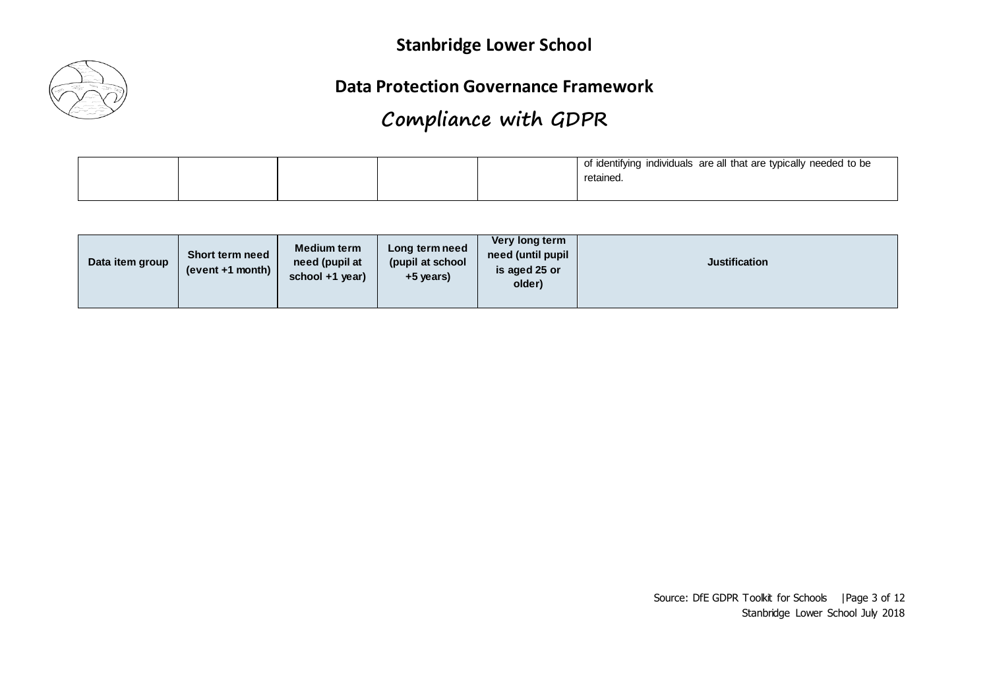

**Data Protection Governance Framework**

|  |  | of identifying individuals are all that are typically needed to be<br>retained. |
|--|--|---------------------------------------------------------------------------------|
|  |  |                                                                                 |

| Data item group | <b>Short term need</b><br>$(event + 1 month)$ | <b>Medium term</b><br>Long term need<br>(pupil at school)<br>need (pupil at<br>school +1 year)<br>+5 years) | Very long term<br>need (until pupil<br>is aged 25 or<br>older) | <b>Justification</b> |
|-----------------|-----------------------------------------------|-------------------------------------------------------------------------------------------------------------|----------------------------------------------------------------|----------------------|
|-----------------|-----------------------------------------------|-------------------------------------------------------------------------------------------------------------|----------------------------------------------------------------|----------------------|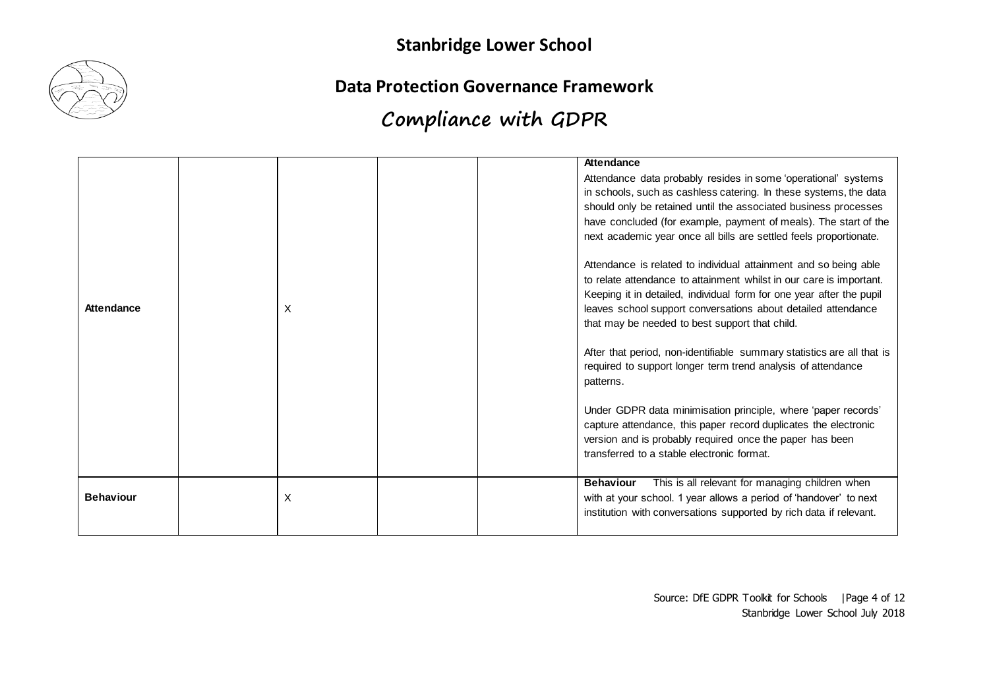

#### **Data Protection Governance Framework**

|                  |   | Attendance                                                                                                                                          |
|------------------|---|-----------------------------------------------------------------------------------------------------------------------------------------------------|
|                  |   | Attendance data probably resides in some 'operational' systems<br>in schools, such as cashless catering. In these systems, the data                 |
|                  |   | should only be retained until the associated business processes                                                                                     |
|                  |   |                                                                                                                                                     |
|                  |   | have concluded (for example, payment of meals). The start of the                                                                                    |
|                  |   | next academic year once all bills are settled feels proportionate.                                                                                  |
|                  |   | Attendance is related to individual attainment and so being able                                                                                    |
|                  |   | to relate attendance to attainment whilst in our care is important.                                                                                 |
|                  |   | Keeping it in detailed, individual form for one year after the pupil                                                                                |
| Attendance       | X | leaves school support conversations about detailed attendance                                                                                       |
|                  |   | that may be needed to best support that child.                                                                                                      |
|                  |   | After that period, non-identifiable summary statistics are all that is<br>required to support longer term trend analysis of attendance<br>patterns. |
|                  |   | Under GDPR data minimisation principle, where 'paper records'                                                                                       |
|                  |   | capture attendance, this paper record duplicates the electronic                                                                                     |
|                  |   | version and is probably required once the paper has been                                                                                            |
|                  |   | transferred to a stable electronic format.                                                                                                          |
|                  |   | This is all relevant for managing children when<br><b>Behaviour</b>                                                                                 |
| <b>Behaviour</b> | X | with at your school. 1 year allows a period of 'handover' to next                                                                                   |
|                  |   | institution with conversations supported by rich data if relevant.                                                                                  |
|                  |   |                                                                                                                                                     |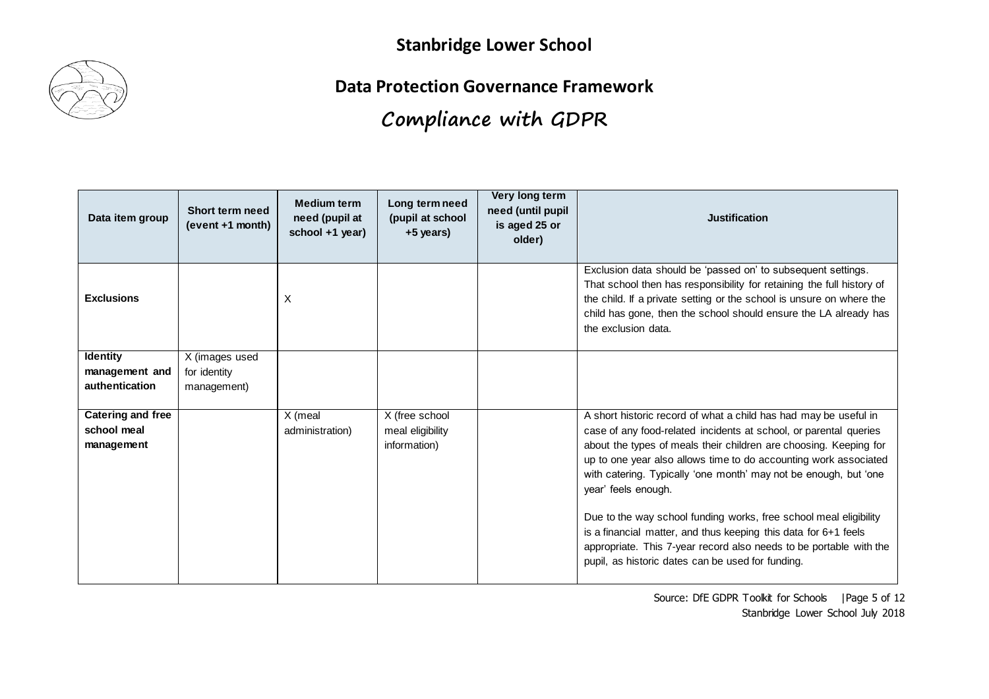

**Data Protection Governance Framework**

| Data item group                                       | Short term need<br>(event +1 month)           | <b>Medium term</b><br>need (pupil at<br>school +1 year) | Long term need<br>(pupil at school<br>+5 years)    | Very long term<br>need (until pupil<br>is aged 25 or<br>older) | <b>Justification</b>                                                                                                                                                                                                                                                                                                                                                                                                                                                                                                                                                                                                                         |
|-------------------------------------------------------|-----------------------------------------------|---------------------------------------------------------|----------------------------------------------------|----------------------------------------------------------------|----------------------------------------------------------------------------------------------------------------------------------------------------------------------------------------------------------------------------------------------------------------------------------------------------------------------------------------------------------------------------------------------------------------------------------------------------------------------------------------------------------------------------------------------------------------------------------------------------------------------------------------------|
| <b>Exclusions</b>                                     |                                               | X                                                       |                                                    |                                                                | Exclusion data should be 'passed on' to subsequent settings.<br>That school then has responsibility for retaining the full history of<br>the child. If a private setting or the school is unsure on where the<br>child has gone, then the school should ensure the LA already has<br>the exclusion data.                                                                                                                                                                                                                                                                                                                                     |
| <b>Identity</b><br>management and<br>authentication   | X (images used<br>for identity<br>management) |                                                         |                                                    |                                                                |                                                                                                                                                                                                                                                                                                                                                                                                                                                                                                                                                                                                                                              |
| <b>Catering and free</b><br>school meal<br>management |                                               | X (meal<br>administration)                              | X (free school<br>meal eligibility<br>information) |                                                                | A short historic record of what a child has had may be useful in<br>case of any food-related incidents at school, or parental queries<br>about the types of meals their children are choosing. Keeping for<br>up to one year also allows time to do accounting work associated<br>with catering. Typically 'one month' may not be enough, but 'one<br>year' feels enough.<br>Due to the way school funding works, free school meal eligibility<br>is a financial matter, and thus keeping this data for 6+1 feels<br>appropriate. This 7-year record also needs to be portable with the<br>pupil, as historic dates can be used for funding. |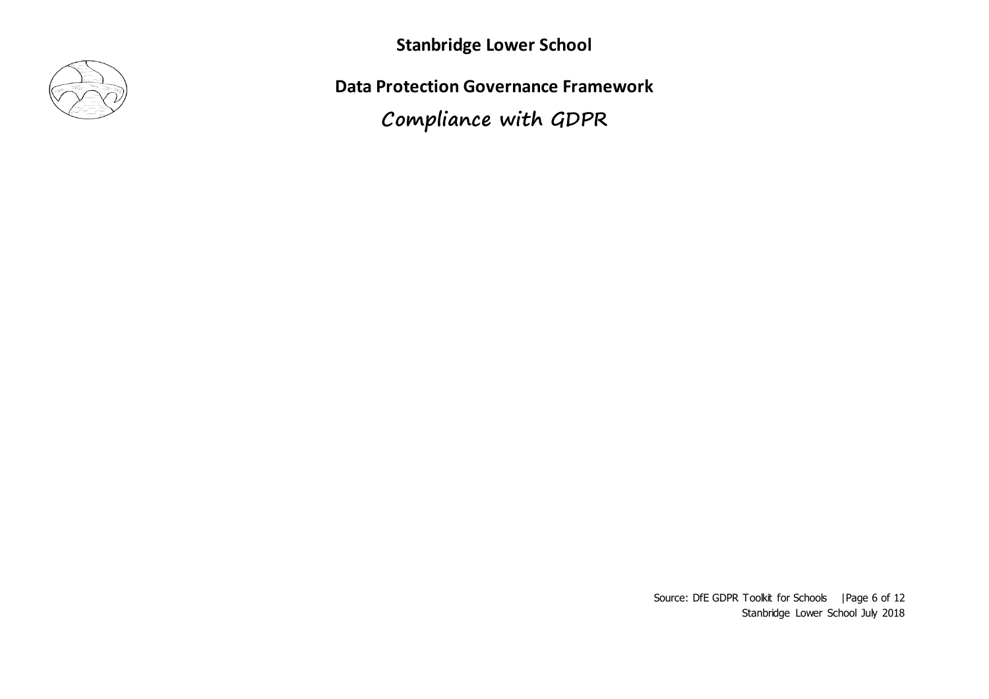

**Data Protection Governance Framework**

**Compliance with GDPR**

Source: DfE GDPR Toolkit for Schools | Page 6 of 12 Stanbridge Lower School July 2018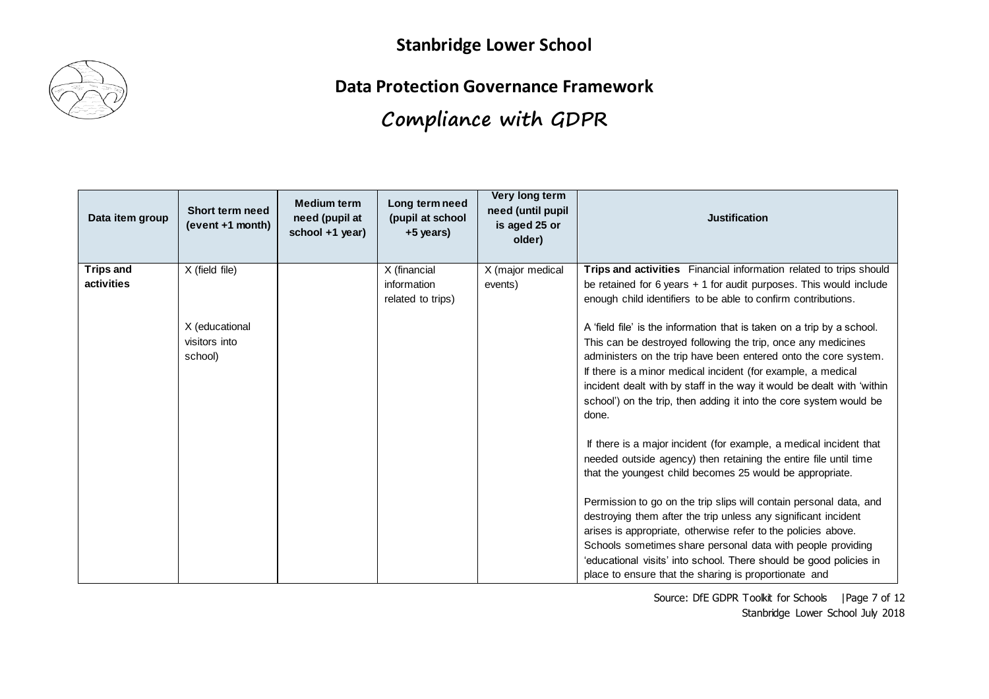

**Data Protection Governance Framework**

# **Compliance with GDPR**

| Data item group                | Short term need<br>(event +1 month)        | <b>Medium term</b><br>need (pupil at<br>school +1 year) | Long term need<br>(pupil at school<br>+5 years)  | Very long term<br>need (until pupil<br>is aged 25 or<br>older) | <b>Justification</b>                                                                                                                                                                                                                                                                                                                                                                                                               |
|--------------------------------|--------------------------------------------|---------------------------------------------------------|--------------------------------------------------|----------------------------------------------------------------|------------------------------------------------------------------------------------------------------------------------------------------------------------------------------------------------------------------------------------------------------------------------------------------------------------------------------------------------------------------------------------------------------------------------------------|
| <b>Trips and</b><br>activities | X (field file)                             |                                                         | X (financial<br>information<br>related to trips) | X (major medical<br>events)                                    | Trips and activities Financial information related to trips should<br>be retained for $6$ years $+1$ for audit purposes. This would include<br>enough child identifiers to be able to confirm contributions.                                                                                                                                                                                                                       |
|                                | X (educational<br>visitors into<br>school) |                                                         |                                                  |                                                                | A 'field file' is the information that is taken on a trip by a school.<br>This can be destroyed following the trip, once any medicines<br>administers on the trip have been entered onto the core system.<br>If there is a minor medical incident (for example, a medical<br>incident dealt with by staff in the way it would be dealt with 'within<br>school') on the trip, then adding it into the core system would be<br>done. |
|                                |                                            |                                                         |                                                  |                                                                | If there is a major incident (for example, a medical incident that<br>needed outside agency) then retaining the entire file until time<br>that the youngest child becomes 25 would be appropriate.                                                                                                                                                                                                                                 |
|                                |                                            |                                                         |                                                  |                                                                | Permission to go on the trip slips will contain personal data, and<br>destroying them after the trip unless any significant incident<br>arises is appropriate, otherwise refer to the policies above.<br>Schools sometimes share personal data with people providing<br>'educational visits' into school. There should be good policies in<br>place to ensure that the sharing is proportionate and                                |

Source: DfE GDPR Toolkit for Schools | Page 7 of 12 Stanbridge Lower School July 2018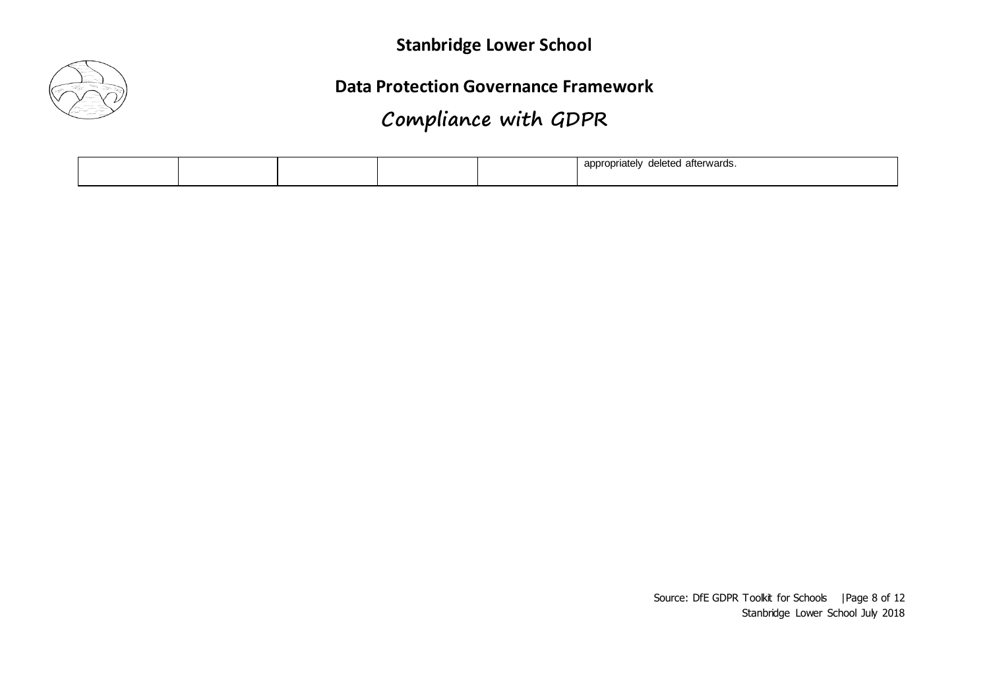

**Data Protection Governance Framework**

# **Compliance with GDPR**

|  |  | $\sim$ Motors $\sim$<br>leted afterwards.<br>nn<br>opriater<br>٦6<br>αU |
|--|--|-------------------------------------------------------------------------|
|  |  |                                                                         |

Source: DfE GDPR Toolkit for Schools | Page 8 of 12 Stanbridge Lower School July 2018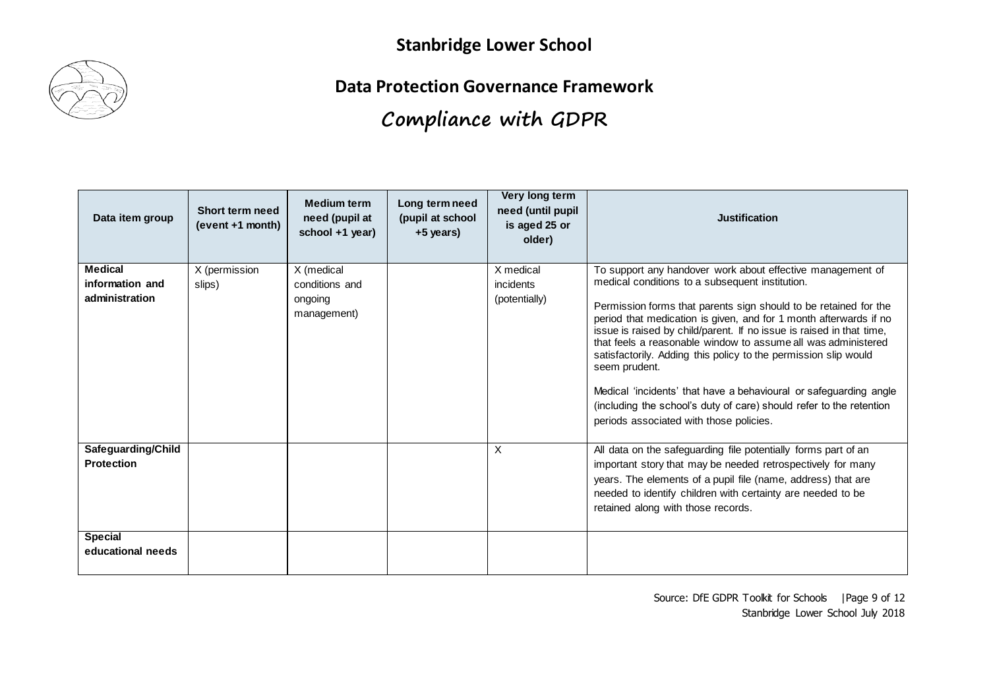

**Data Protection Governance Framework**

| Data item group                                     | Short term need<br>(event +1 month) | <b>Medium term</b><br>need (pupil at<br>school +1 year) | Long term need<br>(pupil at school<br>+5 years) | Very long term<br>need (until pupil<br>is aged 25 or<br>older) | <b>Justification</b>                                                                                                                                                                                                                                                                                                                                                                                                                                                                                                                                                                                                                                                       |
|-----------------------------------------------------|-------------------------------------|---------------------------------------------------------|-------------------------------------------------|----------------------------------------------------------------|----------------------------------------------------------------------------------------------------------------------------------------------------------------------------------------------------------------------------------------------------------------------------------------------------------------------------------------------------------------------------------------------------------------------------------------------------------------------------------------------------------------------------------------------------------------------------------------------------------------------------------------------------------------------------|
| <b>Medical</b><br>information and<br>administration | X (permission<br>slips)             | X (medical<br>conditions and<br>ongoing<br>management)  |                                                 | X medical<br>incidents<br>(potentially)                        | To support any handover work about effective management of<br>medical conditions to a subsequent institution.<br>Permission forms that parents sign should to be retained for the<br>period that medication is given, and for 1 month afterwards if no<br>issue is raised by child/parent. If no issue is raised in that time,<br>that feels a reasonable window to assume all was administered<br>satisfactorily. Adding this policy to the permission slip would<br>seem prudent.<br>Medical 'incidents' that have a behavioural or safeguarding angle<br>(including the school's duty of care) should refer to the retention<br>periods associated with those policies. |
| Safeguarding/Child<br><b>Protection</b>             |                                     |                                                         |                                                 | X                                                              | All data on the safeguarding file potentially forms part of an<br>important story that may be needed retrospectively for many<br>years. The elements of a pupil file (name, address) that are<br>needed to identify children with certainty are needed to be<br>retained along with those records.                                                                                                                                                                                                                                                                                                                                                                         |
| <b>Special</b><br>educational needs                 |                                     |                                                         |                                                 |                                                                |                                                                                                                                                                                                                                                                                                                                                                                                                                                                                                                                                                                                                                                                            |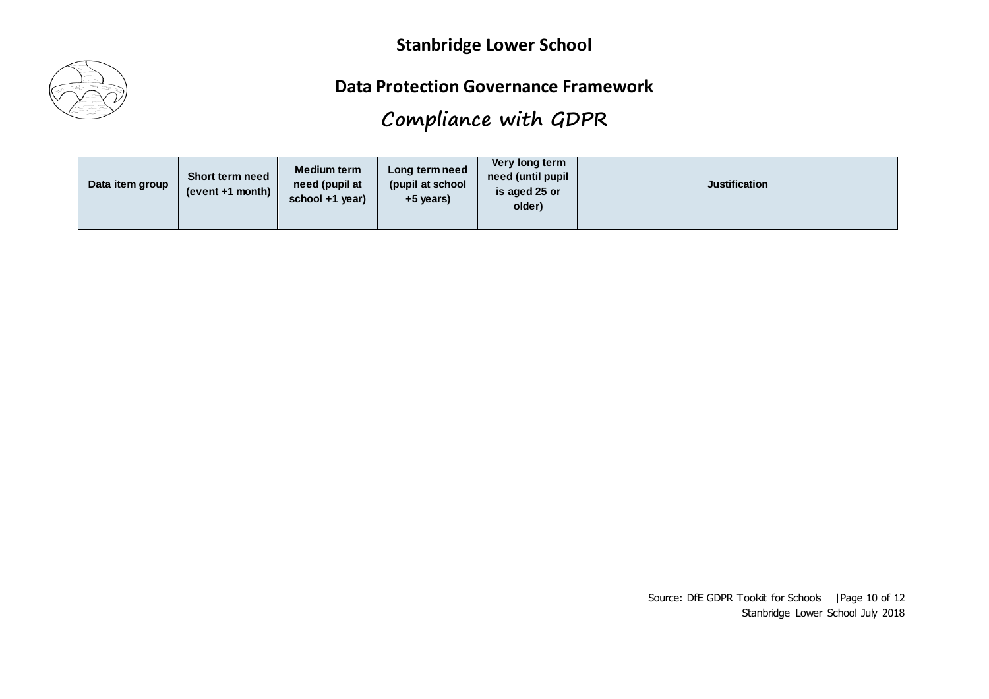

#### **Data Protection Governance Framework**

# **Compliance with GDPR**

| Data item group | <b>Short term need</b><br>(event +1 month) | <b>Medium term</b><br>need (pupil at<br>school +1 year) | Long term need<br>(pupil at school<br>+5 years) | Very long term<br>need (until pupil<br>is aged 25 or<br>older) | <b>Justification</b> |
|-----------------|--------------------------------------------|---------------------------------------------------------|-------------------------------------------------|----------------------------------------------------------------|----------------------|
|-----------------|--------------------------------------------|---------------------------------------------------------|-------------------------------------------------|----------------------------------------------------------------|----------------------|

Source: DfE GDPR Toolkit for Schools | Page 10 of 12 Stanbridge Lower School July 2018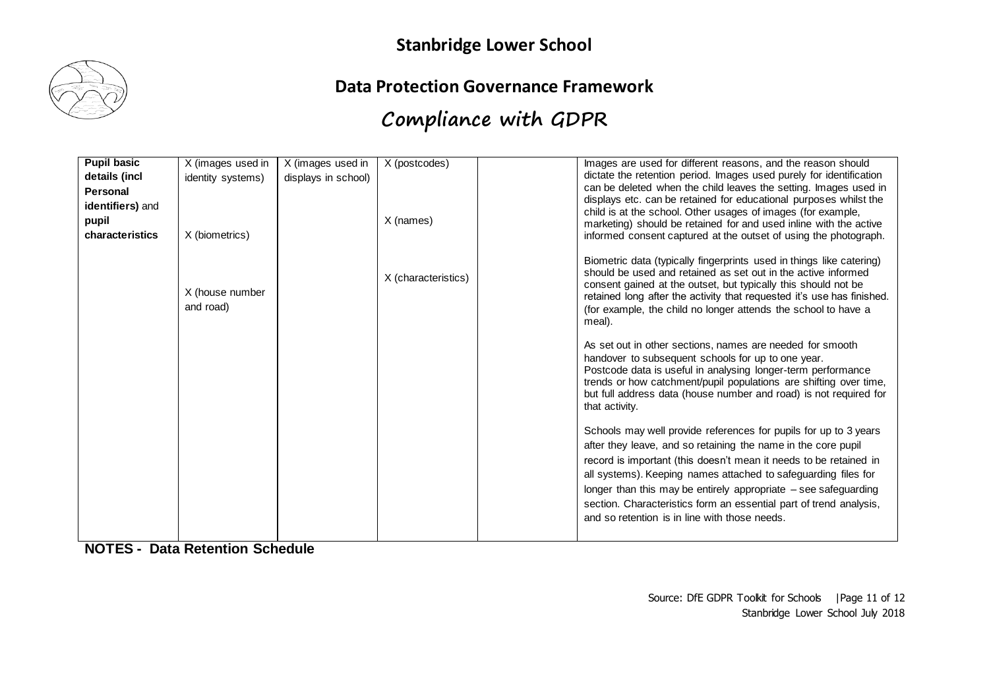

#### **Data Protection Governance Framework**

# **Compliance with GDPR**

| <b>Pupil basic</b> | X (images used in            | X (images used in   | X (postcodes)       | Images are used for different reasons, and the reason should                                                                                                                                                                                                                                                                                                                                                                                                       |
|--------------------|------------------------------|---------------------|---------------------|--------------------------------------------------------------------------------------------------------------------------------------------------------------------------------------------------------------------------------------------------------------------------------------------------------------------------------------------------------------------------------------------------------------------------------------------------------------------|
| details (incl      | identity systems)            | displays in school) |                     | dictate the retention period. Images used purely for identification                                                                                                                                                                                                                                                                                                                                                                                                |
| Personal           |                              |                     |                     | can be deleted when the child leaves the setting. Images used in                                                                                                                                                                                                                                                                                                                                                                                                   |
| identifiers) and   |                              |                     |                     | displays etc. can be retained for educational purposes whilst the                                                                                                                                                                                                                                                                                                                                                                                                  |
|                    |                              |                     |                     | child is at the school. Other usages of images (for example,                                                                                                                                                                                                                                                                                                                                                                                                       |
| pupil              |                              |                     | X (names)           | marketing) should be retained for and used inline with the active                                                                                                                                                                                                                                                                                                                                                                                                  |
| characteristics    | X (biometrics)               |                     |                     | informed consent captured at the outset of using the photograph.                                                                                                                                                                                                                                                                                                                                                                                                   |
|                    | X (house number<br>and road) |                     | X (characteristics) | Biometric data (typically fingerprints used in things like catering)<br>should be used and retained as set out in the active informed<br>consent gained at the outset, but typically this should not be<br>retained long after the activity that requested it's use has finished.<br>(for example, the child no longer attends the school to have a<br>meal).                                                                                                      |
|                    |                              |                     |                     | As set out in other sections, names are needed for smooth<br>handover to subsequent schools for up to one year.<br>Postcode data is useful in analysing longer-term performance<br>trends or how catchment/pupil populations are shifting over time,<br>but full address data (house number and road) is not required for<br>that activity.                                                                                                                        |
|                    |                              |                     |                     | Schools may well provide references for pupils for up to 3 years<br>after they leave, and so retaining the name in the core pupil<br>record is important (this doesn't mean it needs to be retained in<br>all systems). Keeping names attached to safeguarding files for<br>longer than this may be entirely appropriate - see safeguarding<br>section. Characteristics form an essential part of trend analysis,<br>and so retention is in line with those needs. |

**NOTES - Data Retention Schedule**